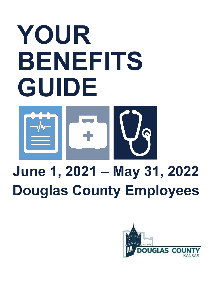# **YOUR BENEFITS GUIDE**



## **June 1, 2021 – May 31, 2022 Douglas County Employees**

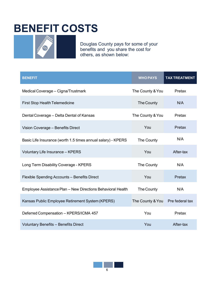### **BENEFIT COSTS**



Douglas County pays for some of your benefits and you share the cost for others, as shown below:

| <b>BENEFIT</b>                                               | <b>WHO PAYS</b>  | <b>TAX TREATMENT</b> |
|--------------------------------------------------------------|------------------|----------------------|
| Medical Coverage - Cigna/Trustmark                           | The County & You | Pretax               |
| <b>First Stop Health Telemedicine</b>                        | The County       | N/A                  |
| Dental Coverage - Delta Dental of Kansas                     | The County & You | Pretax               |
| Vision Coverage - Benefits Direct                            | You              | Pretax               |
| Basic Life Insurance (worth 1.5 times annual salary) - KPERS | The County       | N/A                  |
| Voluntary Life Insurance - KPERS                             | You              | After-tax            |
| Long Term Disability Coverage - KPERS                        | The County       | N/A                  |
| Flexible Spending Accounts - Benefits Direct                 | You              | Pretax               |
| Employee Assistance Plan - New Directions Behavioral Health  | The County       | N/A                  |
| Kansas Public Employee Retirement System (KPERS)             | The County & You | Pre federal tax      |
| Deferred Compensation - KPERS/ICMA 457                       | You              | Pretax               |
| <b>Voluntary Benefits - Benefits Direct</b>                  | You              | After-tax            |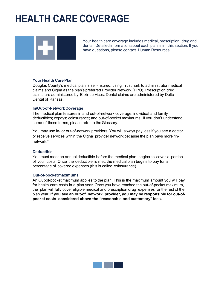### **HEALTH CARE COVERAGE**



Your health care coverage includes medical, prescription drug and dental. Detailed information about each plan is in this section. If you have questions, please contact Human Resources.

#### **Your Health Care Plan**

Douglas County's medical plan is self-insured, using Trustmark to administrator medical claims and Cigna as the plan's preferred Provider Network (PPO). Prescription drug claims are administered by Elixir services. Dental claims are administered by Delta Dental of Kansas.

#### **In/Out-of-NetworkCoverage**

The medical plan features in and out-of-network coverage; individual and family deductibles; copays; coinsurance; and out-of-pocket maximums. If you don't understand some of these terms, please refer to theGlossary.

You may use in- or out-of-network providers. You will always pay less if you see a doctor or receive services within the Cigna provider network because the plan pays more "innetwork."

#### **Deductible**

You must meet an annual deductible before the medical plan begins to cover a portion of your costs. Once the deductible is met, the medical plan begins to pay for a percentage of covered expenses (this is called coinsurance).

#### **Out-of-pocketmaximums**

An Out-of-pocket maximum applies to the plan. This is the maximum amount you will pay for health care costs in a plan year. Once you have reached the out-of-pocket maximum, the plan will fully cover eligible medical and prescription drug expenses for the rest of the plan year. **If you see an out-of network provider, you may be responsible for out-ofpocket costs considered above the "reasonable and customary" fees.**

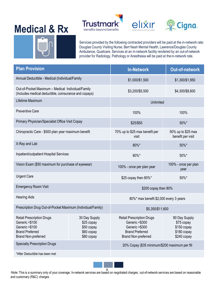### **Medical & Rx**







Services provided by the following contracted providers will be paid at the in-network rate: Douglas County Visiting Nurse, Bert Nash Mental Health, Lawrence/Douglas County Ambulance, Qualicare. Services at an in-network facility rendered by an out-of-network provider for Radiology, Pathology or Anesthesia will be paid at the in-network rate.

| <b>Plan Provision</b>                                                                                                        |                                                                       | <b>In-Network</b>                                                                                                            | <b>Out-of-network</b>                                                    |  |
|------------------------------------------------------------------------------------------------------------------------------|-----------------------------------------------------------------------|------------------------------------------------------------------------------------------------------------------------------|--------------------------------------------------------------------------|--|
| Annual Deductible - Medical (Individual/Family                                                                               |                                                                       | \$1,000/\$1,500                                                                                                              | \$1,300/\$1,950                                                          |  |
| Out-of-Pocket Maximum - Medical Individual/Family<br>(Includes medical deductible, coinsurance and copays)                   |                                                                       | \$3,200/\$5,500                                                                                                              | \$4,300/\$8,600                                                          |  |
| Lifetime Maximum                                                                                                             |                                                                       | Unlimited                                                                                                                    |                                                                          |  |
| <b>Preventive Care</b>                                                                                                       |                                                                       | 100%                                                                                                                         | 100%                                                                     |  |
| Primary Physician/Specialist Office Visit Copay                                                                              |                                                                       | 50%*<br>\$25/\$50                                                                                                            |                                                                          |  |
| Chiropractic Care - \$500 plan year maximum benefit                                                                          |                                                                       | 70% up to \$25 max benefit per<br>visit                                                                                      | 50% up to \$25 max<br>benefit per visit                                  |  |
| X-Ray and Lab                                                                                                                |                                                                       | 80%*                                                                                                                         | 50%*                                                                     |  |
| Inpatient/outpatient Hospital Services                                                                                       |                                                                       |                                                                                                                              | 50%*                                                                     |  |
| Vision Exam (\$50 maximum for purchase of eyewear)                                                                           |                                                                       | 100% - once per plan year                                                                                                    | 100% - once per plan<br>year                                             |  |
| <b>Urgent Care</b>                                                                                                           |                                                                       | \$25 copay then 80%*<br>50%*                                                                                                 |                                                                          |  |
| <b>Emergency Room Visit</b>                                                                                                  |                                                                       | \$200 copay then 80%                                                                                                         |                                                                          |  |
| <b>Hearing Aids</b>                                                                                                          |                                                                       | 80%* max benefit \$2,000 every 3 years                                                                                       |                                                                          |  |
| Prescription Drug Out-of-Pocket Maximum (Individual/Family)                                                                  |                                                                       | \$5,350/\$11,600                                                                                                             |                                                                          |  |
| <b>Retail Prescription Drugs</b><br>Generic <\$100<br>Generic >\$100<br><b>Brand Preferred</b><br><b>Brand Non-preferred</b> | 30 Day Supply<br>\$25 copay<br>\$50 copay<br>\$60 copay<br>\$80 copay | <b>Retail Prescription Drugs</b><br>Generic <\$300<br>Generic >\$300<br><b>Brand Preferred</b><br><b>Brand Non-preferred</b> | 90 Day Supply<br>\$75 copay<br>\$150 copay<br>\$180 copay<br>\$240 copay |  |
| <b>Specialty Prescription Drugs</b>                                                                                          |                                                                       | 20% Copay (\$35 minimum/\$200 maximum per fill                                                                               |                                                                          |  |
| *After Deductible has been met                                                                                               |                                                                       |                                                                                                                              |                                                                          |  |



\*Note: This is a summary only of your coverage. In-network services are based on negotiated charges; out-of-network services are based on reasonable 8 and customary (R&C) charges.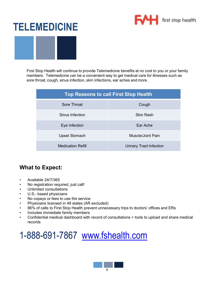

### **TELEMEDICINE**

First Stop Health will continue to provide Telemedicine benefits at no cost to you or your family members. Telemedicine can be a convenient way to get medical care for illnesses such as sore throat, cough, sinus infection, skin infections, ear aches and more.

| <b>Top Reasons to call First Stop Health</b> |                                |  |  |
|----------------------------------------------|--------------------------------|--|--|
| Sore Throat                                  | Cough                          |  |  |
| Sinus Infection                              | <b>Skin Rash</b>               |  |  |
| Eye Infection                                | Far Ache                       |  |  |
| <b>Upset Stomach</b>                         | Muscle/Joint Pain              |  |  |
| <b>Medication Refill</b>                     | <b>Urinary Tract Infection</b> |  |  |

#### **What to Expect:**

- Available 24/7/365
- No registration required, just call!
- Unlimited consultations
- U.S.- based physicians
- No copays or fees to use the service
- Physicians licensed in 49 states (AR excluded)
- 86% of calls to First Stop Health prevent unnecessary trips to doctors' offices and ERs
- Includes immediate family members
- Confidential medical dashboard with record of consultations + tools to upload and share medical records

### 1-888-691-7867 [www.fshealth.com](http://www.fshealth.com/)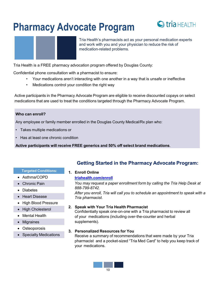### **Pharmacy Advocate Program**





Tria Health's pharmacists act as your personal medication experts and work with you and your physician to reduce the risk of medication-related problems.

Tria Health is a FREE pharmacy advocation program offered by Douglas County:

Confidential phone consultation with a pharmacist to ensure:

- Your medications aren't interacting with one another in a way that is unsafe or ineffective
- Medications control your condition the right way

Active participants in the Pharmacy Advocate Program are eligible to receive discounted copays on select medications that are used to treat the conditions targeted through the Pharmacy Advocate Program.

#### **Who can enroll?**

Any employee or family member enrolled in the Douglas County Medical/Rx plan who:

- Takes multiple medications or
- Has at least one chronic condition

**Active participants will receive FREE generics and 50% off select brand medications**.

#### **Targeted Conditions:**

• Asthma/COPD • Chronic Pain

• Heart Disease

• High Cholesterol • Mental Health

• High Blood Pressure

• Diabetes

• Migraines • Osteoporosis

#### **1. Enroll Online**

#### **[triahealth.com/enroll](http://triahealth.com/enroll)**

*You may request a paper enrollment form by calling the Tria Help Desk at 888-799-8742.*

**Getting Started in the Pharmacy Advocate Program:**

*After you enroll, Tria will call you to schedule an appointment to speak with a Tria pharmacist.*

**2. Speak with Your Tria Health Pharmacist**

Confidentially speak one-on-one with a Tria pharmacist to review all of your medications (including over-the-counter and herbal supplements).

**3. Personalized Resources for You**

Receive a summary of recommendations that were made by your Tria pharmacist and a pocket-sized "Tria Med Card" to help you keep track of your medications.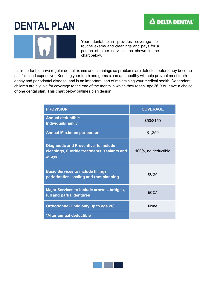### **DENTAL PLAN**

Your dental plan provides coverage for routine exams and cleanings and pays for a portion of other services, as shown in the chart below.

It's important to have regular dental exams and cleanings so problems are detected before they become painful—and expensive. Keeping your teeth and gums clean and healthy will help prevent most tooth decay and periodontal disease, and is an important part of maintaining your medical health. Dependent children are eligible for coverage to the end of the month in which they reach age 26. You have a choice of one dental plan. This chart below outlines plan design:

| <b>PROVISION</b>                                                                                       | <b>COVERAGE</b>     |
|--------------------------------------------------------------------------------------------------------|---------------------|
| <b>Annual deductible</b><br><b>Individual/Family</b>                                                   | \$50/\$150          |
| <b>Annual Maximum per person</b>                                                                       | \$1,250             |
| <b>Diagnostic and Preventive, to include</b><br>cleanings, fluoride treatments, sealants and<br>x-rays | 100%, no deductible |
| <b>Basic Services to include fillings,</b><br>periodontics, scaling and root planning                  | $80\%$ *            |
| <b>Major Services to include crowns, bridges,</b><br>full and partial dentures                         | $50\%$ *            |
| Orthodontia (Child only up to age 26)                                                                  | <b>None</b>         |
| *After annual deductible                                                                               |                     |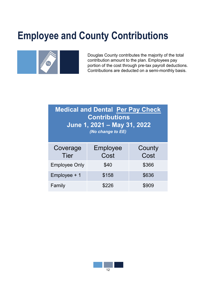### **Employee and County Contributions**



Douglas County contributes the majority of the total contribution amount to the plan. Employees pay portion of the cost through pre-tax payroll deductions. Contributions are deducted on a semi-monthly basis.

| <b>Medical and Dental Per Pay Check</b><br><b>Contributions</b><br>June 1, 2021 - May 31, 2022<br>(No change to EE) |                  |                |  |  |
|---------------------------------------------------------------------------------------------------------------------|------------------|----------------|--|--|
| Coverage<br><b>Tier</b>                                                                                             | Employee<br>Cost | County<br>Cost |  |  |
| <b>Employee Only</b>                                                                                                | \$40             | \$366          |  |  |
| Employee + 1                                                                                                        | \$158            | \$636          |  |  |
| Family                                                                                                              | \$226            | \$909          |  |  |

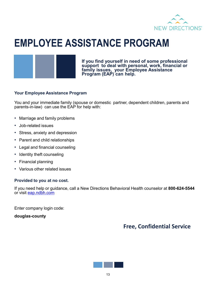

### **EMPLOYEE ASSISTANCE PROGRAM**



**If you find yourself in need of some professional support to deal with personal, work, financial or family issues, your Employee Assistance Program (EAP) can help.**

#### **Your Employee Assistance Program**

You and your immediate family (spouse or domestic partner, dependent children, parents and parents-in-law) can use the EAP for help with:

- Marriage and family problems
- Job-related issues
- Stress, anxiety and depression
- Parent and child relationships
- Legal and financial counseling
- Identity theft counseling
- Financial planning
- Various other related issues

#### **Provided to you at no cost.**

If you need help or guidance, call a New Directions Behavioral Health counselor at **800-624-5544** or visit eap.ndbh.com

Enter company login code:

**douglas-county**

### **Free, Confidential Service**

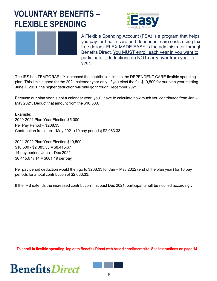### **VOLUNTARY BENEFITS – FLEXIBLE SPENDING**





A Flexible Spending Account (FSA) is a program that helps you pay for health care and dependent care costs using tax free dollars. FLEX MADE EASY is the administrator through Benefits Direct. You MUST enroll each year in you want to participate – deductions do NOT carry over from year to year.

The IRS has TEMPORARILY increased the contribution limit to the DEPENDENT CARE flexible spending plan. This limit is good for the 2021 calendar year only. If you elect the full \$10,500 for our plan year starting June 1, 2021, the higher deduction will only go through December 2021.

Because our plan year is not a calendar year, you'll have to calculate how much you contributed from Jan – May 2021. Deduct that amount from the \$10,500.

Example: 2020-2021 Plan Year Election \$5,000 Per Pay Period = \$208.33 Contribution from Jan – May 2021 (10 pay periods) \$2,083.33

2021-2022 Plan Year Election \$10,500  $$10,500 - $2,083.33 = $8,415.67$ 14 pay periods June – Dec 2021 \$8,415.67 / 14 = \$601.19 per pay

Per pay period deduction would then go to \$208.33 for Jan – May 2022 (end of the plan year) for 10 pay periods for a total contribution of \$2,083.33.

If the IRS extends the increased contribution limit past Dec 2021, participants will be notified accordingly.

**To enroll in flexible spending, log onto Benefits Direct web based enrollment site. See instructions on page 14.**

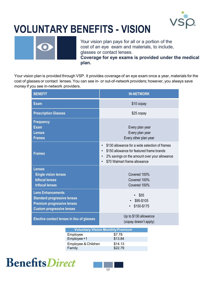

### **VOLUNTARY BENEFITS - VISION**



Your vision plan pays for all or a portion of the cost of an eye exam and materials, to include, glasses or contact lenses. **Coverage for eye exams is provided under the medical plan.**

Your vision plan is provided through VSP. It provides coverage of an eye exam once a year, materials for the cost of glasses or contact lenses. You can see in- or out-of-network providers; however, you always save money if you see in-network providers.

| <b>BENEFIT</b>                                                                                                                          |                                               | <b>IN-NETWORK</b>                                                                                                                                                                                                  |                                                                         |  |
|-----------------------------------------------------------------------------------------------------------------------------------------|-----------------------------------------------|--------------------------------------------------------------------------------------------------------------------------------------------------------------------------------------------------------------------|-------------------------------------------------------------------------|--|
| <b>Exam</b>                                                                                                                             |                                               | \$10 copay                                                                                                                                                                                                         |                                                                         |  |
| <b>Prescription Glasses</b>                                                                                                             |                                               |                                                                                                                                                                                                                    | $$25$ copay                                                             |  |
| <b>Frequency</b><br><b>Exam</b><br><b>Lenses</b><br><b>Frames</b>                                                                       |                                               |                                                                                                                                                                                                                    | Every plan year<br>Every plan year<br>Every other plan year             |  |
| <b>Frames</b>                                                                                                                           |                                               | \$130 allowance for a wide selection of frames<br>$\bullet$<br>\$150 allowance for featured frame brands<br>$\bullet$<br>2% savings on the amount over your allowance<br>$\bullet$<br>\$70 Walmart frame allowance |                                                                         |  |
| <b>Lenses</b><br><b>Single vision lenses</b><br><b>bifocal lenses</b><br>trifocal lenses                                                |                                               |                                                                                                                                                                                                                    | Covered 100%<br>Covered 100%<br>Covered 100%                            |  |
| <b>Lens Enhancements</b><br><b>Standard progressive lenses</b><br><b>Premium progressive lenses</b><br><b>Custom progressive lenses</b> |                                               | \$55<br>\$95-\$105<br>\$150-\$175                                                                                                                                                                                  |                                                                         |  |
| <b>Elective contact lenses in lieu of glasses</b>                                                                                       |                                               | Up to \$130 allowance<br>(copay doesn't apply)                                                                                                                                                                     |                                                                         |  |
|                                                                                                                                         | Employee<br>Employee+1<br>Employee & Children |                                                                                                                                                                                                                    | <b>Voluntary Vision Monthly Premium</b><br>\$7.78<br>\$13.84<br>\$14.13 |  |

### **BenefitsDirect**



**Family** \$22.79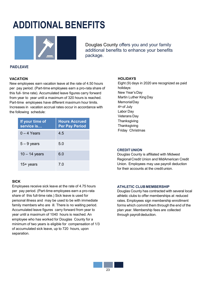### **Pharmacy Advocate Program**



with a



Tria Healths pharmacists act a your personal medication experts and workwithyou and your physician treduce the risk of medication related problems.

Tria Health is a FREE pharmacy advocation program offered by Douglas County:

Confidential phone consultation with a pharmacist to ensure:

Your medications arent interacting with one another in a way that is unsafe or ineffective Medications control your condition the right way

Active participants ithe Pharmacy Advocate Program are eligible receive discounted copays on select medications that are used to treat the conditions targeted through trearmacy Advocate Program.

Who can enroll

Any employee or family member enrolled in the Douglas County Medical/Rx plan who:

Takes multiple medications or

Has at least one chronic condition

Active participants will receive FREE generics and 50% off select brand medications

| <b>Hargeted Conditions:</b> | Enroll Online                                                                                     |
|-----------------------------|---------------------------------------------------------------------------------------------------|
| x Asthma/COPD               | triahealth.com/enroll                                                                             |
| x ChronicPain               | You may request a paper enrollment form by calling the Tria Help Desk at                          |
| <b>x</b> Diabetes           | 888-799-8742.                                                                                     |
| x Heart Disease             | After you enroll, Tria will call you to schedule an appointment to speak with<br>Tria pharmacist. |
| x High Blood Pressure       |                                                                                                   |
| y Ujah Chalastaval          | 2. Speak with Your Tria Health Pharmacist                                                         |

Confidentially speak onen-one with a Tria pharmacist to review all of your medications (including ovene-counter and herbal supplements).

Getting Started in the Pharmacy Advocate Program:

3. Personalized Resources for You Receive a summary of recommendations that wermede by your Tria pharmacistand a pocketsized "Tria MedCard" to help youkeep track of your medications.

- $x$
- $x \mid$
- **x High Cholesterol**
- **x MentalHealth**
- x Migraines
- x Osteoporosis
- **x Specialty Medications**